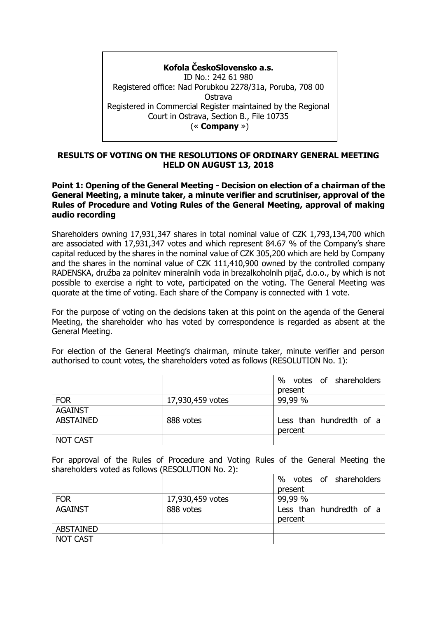**Kofola ČeskoSlovensko a.s.** ID No.: 242 61 980 Registered office: Nad Porubkou 2278/31a, Poruba, 708 00 Ostrava Registered in Commercial Register maintained by the Regional Court in Ostrava, Section B., File 10735 (« **Company** »)

## **RESULTS OF VOTING ON THE RESOLUTIONS OF ORDINARY GENERAL MEETING HELD ON AUGUST 13, 2018**

## **Point 1: Opening of the General Meeting - Decision on election of a chairman of the General Meeting, a minute taker, a minute verifier and scrutiniser, approval of the Rules of Procedure and Voting Rules of the General Meeting, approval of making audio recording**

Shareholders owning 17,931,347 shares in total nominal value of CZK 1,793,134,700 which are associated with 17,931,347 votes and which represent 84.67 % of the Company's share capital reduced by the shares in the nominal value of CZK 305,200 which are held by Company and the shares in the nominal value of CZK 111,410,900 owned by the controlled company RADENSKA, družba za polnitev mineralnih voda in brezalkoholnih pijač, d.o.o., by which is not possible to exercise a right to vote, participated on the voting. The General Meeting was quorate at the time of voting. Each share of the Company is connected with 1 vote.

For the purpose of voting on the decisions taken at this point on the agenda of the General Meeting, the shareholder who has voted by correspondence is regarded as absent at the General Meeting.

For election of the General Meeting's chairman, minute taker, minute verifier and person authorised to count votes, the shareholders voted as follows (RESOLUTION No. 1):

|                  |                  | votes of shareholders<br>%<br>present |
|------------------|------------------|---------------------------------------|
| <b>FOR</b>       | 17,930,459 votes | 99,99 %                               |
| <b>AGAINST</b>   |                  |                                       |
| <b>ABSTAINED</b> | 888 votes        | Less than hundredth of a<br>percent   |
| <b>NOT CAST</b>  |                  |                                       |

For approval of the Rules of Procedure and Voting Rules of the General Meeting the shareholders voted as follows (RESOLUTION No. 2):

|                  |                  | $\%$<br>votes of shareholders |
|------------------|------------------|-------------------------------|
|                  |                  | present                       |
| <b>FOR</b>       | 17,930,459 votes | 99,99 %                       |
| <b>AGAINST</b>   | 888 votes        | Less than hundredth of a      |
|                  |                  | percent                       |
| <b>ABSTAINED</b> |                  |                               |
| <b>NOT CAST</b>  |                  |                               |